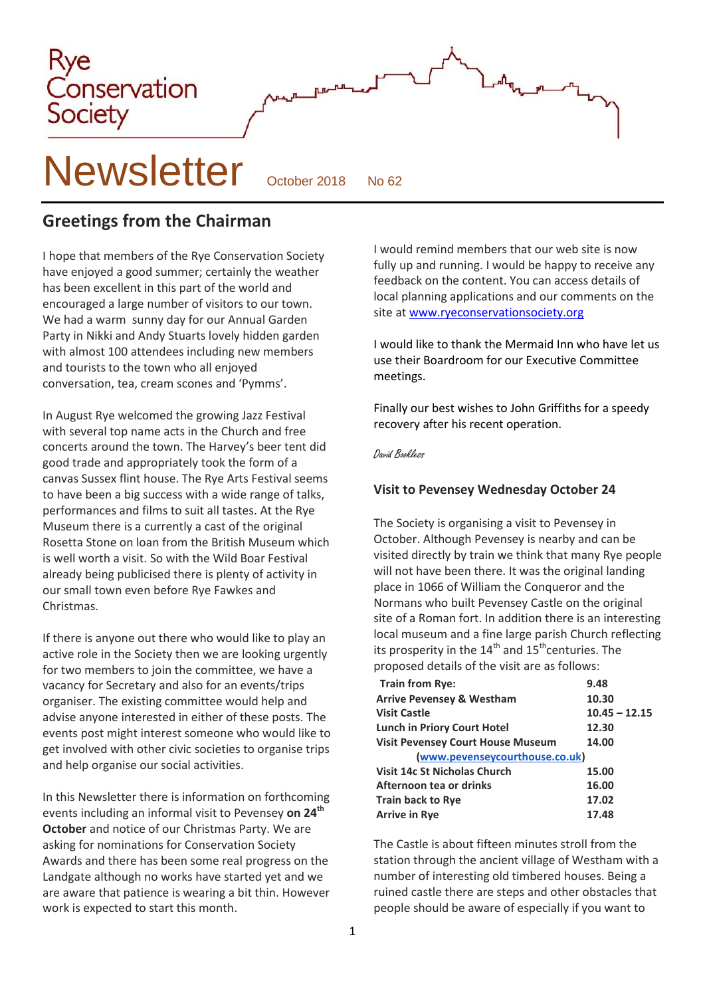

**Greetings from the Chairman**

I hope that members of the Rye Conservation Society have enjoyed a good summer; certainly the weather has been excellent in this part of the world and encouraged a large number of visitors to our town. We had a warm sunny day for our Annual Garden Party in Nikki and Andy Stuarts lovely hidden garden with almost 100 attendees including new members and tourists to the town who all enjoyed conversation, tea, cream scones and 'Pymms'.

In August Rye welcomed the growing Jazz Festival with several top name acts in the Church and free concerts around the town. The Harvey's beer tent did good trade and appropriately took the form of a canvas Sussex flint house. The Rye Arts Festival seems to have been a big success with a wide range of talks, performances and films to suit all tastes. At the Rye Museum there is a currently a cast of the original Rosetta Stone on loan from the British Museum which is well worth a visit. So with the Wild Boar Festival already being publicised there is plenty of activity in our small town even before Rye Fawkes and **Christmas** 

If there is anyone out there who would like to play an active role in the Society then we are looking urgently for two members to join the committee, we have a vacancy for Secretary and also for an events/trips organiser. The existing committee would help and advise anyone interested in either of these posts. The events post might interest someone who would like to get involved with other civic societies to organise trips and help organise our social activities.

In this Newsletter there is information on forthcoming events including an informal visit to Pevensey **on 24th October** and notice of our Christmas Party. We are asking for nominations for Conservation Society Awards and there has been some real progress on the Landgate although no works have started yet and we are aware that patience is wearing a bit thin. However work is expected to start this month.

I would remind members that our web site is now fully up and running. I would be happy to receive any feedback on the content. You can access details of local planning applications and our comments on the site a[t www.ryeconservationsociety.org](http://www.ryeconservationsociety.org/)

I would like to thank the Mermaid Inn who have let us use their Boardroom for our Executive Committee meetings.

Finally our best wishes to John Griffiths for a speedy recovery after his recent operation.

### David Bookless

### **Visit to Pevensey Wednesday October 24**

The Society is organising a visit to Pevensey in October. Although Pevensey is nearby and can be visited directly by train we think that many Rye people will not have been there. It was the original landing place in 1066 of William the Conqueror and the Normans who built Pevensey Castle on the original site of a Roman fort. In addition there is an interesting local museum and a fine large parish Church reflecting its prosperity in the  $14<sup>th</sup>$  and  $15<sup>th</sup>$ centuries. The proposed details of the visit are as follows:

| <b>Train from Rye:</b>                   | 9.48            |
|------------------------------------------|-----------------|
| <b>Arrive Pevensey &amp; Westham</b>     | 10.30           |
| <b>Visit Castle</b>                      | $10.45 - 12.15$ |
| <b>Lunch in Priory Court Hotel</b>       | 12.30           |
| <b>Visit Pevensey Court House Museum</b> | 14.00           |
| (www.pevenseycourthouse.co.uk)           |                 |
| Visit 14c St Nicholas Church             | 15.00           |
| Afternoon tea or drinks                  | 16.00           |
| <b>Train back to Rye</b>                 | 17.02           |
| <b>Arrive in Rye</b>                     | 17.48           |

The Castle is about fifteen minutes stroll from the station through the ancient village of Westham with a number of interesting old timbered houses. Being a ruined castle there are steps and other obstacles that people should be aware of especially if you want to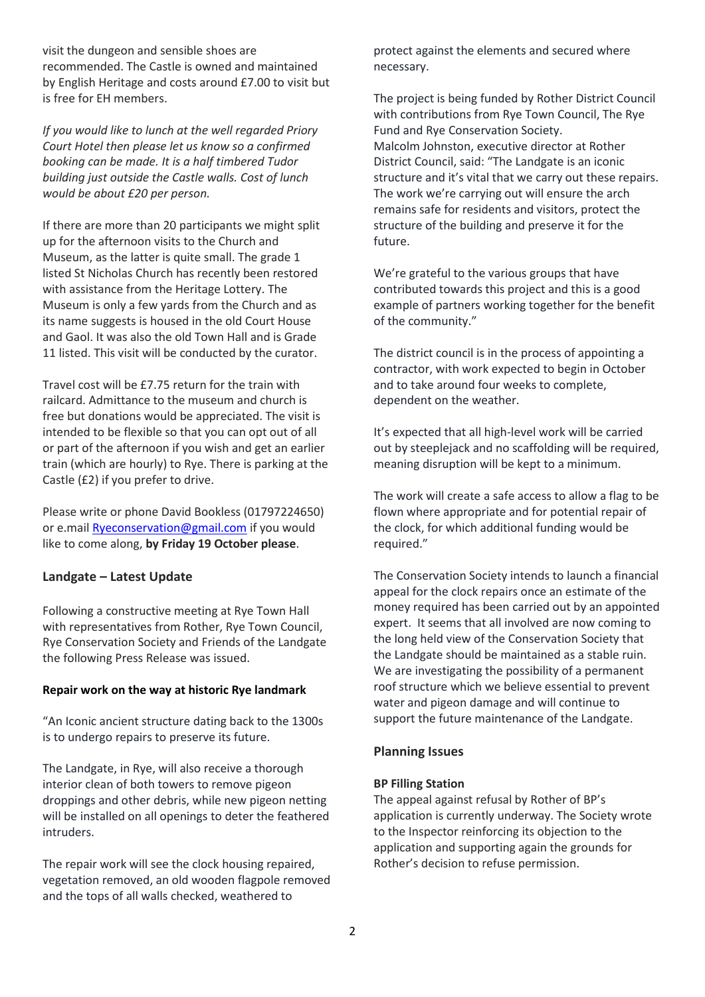visit the dungeon and sensible shoes are recommended. The Castle is owned and maintained by English Heritage and costs around £7.00 to visit but is free for EH members.

*If you would like to lunch at the well regarded Priory Court Hotel then please let us know so a confirmed booking can be made. It is a half timbered Tudor building just outside the Castle walls. Cost of lunch would be about £20 per person.*

If there are more than 20 participants we might split up for the afternoon visits to the Church and Museum, as the latter is quite small. The grade 1 listed St Nicholas Church has recently been restored with assistance from the Heritage Lottery. The Museum is only a few yards from the Church and as its name suggests is housed in the old Court House and Gaol. It was also the old Town Hall and is Grade 11 listed. This visit will be conducted by the curator.

Travel cost will be £7.75 return for the train with railcard. Admittance to the museum and church is free but donations would be appreciated. The visit is intended to be flexible so that you can opt out of all or part of the afternoon if you wish and get an earlier train (which are hourly) to Rye. There is parking at the Castle (£2) if you prefer to drive.

Please write or phone David Bookless (01797224650) or e.mail [Ryeconservation@gmail.com](mailto:Ryeconservation@gmail.com) if you would like to come along, **by Friday 19 October please**.

#### **Landgate – Latest Update**

Following a constructive meeting at Rye Town Hall with representatives from Rother, Rye Town Council, Rye Conservation Society and Friends of the Landgate the following Press Release was issued.

#### **Repair work on the way at historic Rye landmark**

"An Iconic ancient structure dating back to the 1300s is to undergo repairs to preserve its future.

The Landgate, in Rye, will also receive a thorough interior clean of both towers to remove pigeon droppings and other debris, while new pigeon netting will be installed on all openings to deter the feathered intruders.

The repair work will see the clock housing repaired, vegetation removed, an old wooden flagpole removed and the tops of all walls checked, weathered to

protect against the elements and secured where necessary.

The project is being funded by Rother District Council with contributions from Rye Town Council, The Rye Fund and Rye Conservation Society. Malcolm Johnston, executive director at Rother District Council, said: "The Landgate is an iconic structure and it's vital that we carry out these repairs. The work we're carrying out will ensure the arch remains safe for residents and visitors, protect the structure of the building and preserve it for the future.

We're grateful to the various groups that have contributed towards this project and this is a good example of partners working together for the benefit of the community."

The district council is in the process of appointing a contractor, with work expected to begin in October and to take around four weeks to complete, dependent on the weather.

It's expected that all high-level work will be carried out by steeplejack and no scaffolding will be required, meaning disruption will be kept to a minimum.

The work will create a safe access to allow a flag to be flown where appropriate and for potential repair of the clock, for which additional funding would be required."

The Conservation Society intends to launch a financial appeal for the clock repairs once an estimate of the money required has been carried out by an appointed expert. It seems that all involved are now coming to the long held view of the Conservation Society that the Landgate should be maintained as a stable ruin. We are investigating the possibility of a permanent roof structure which we believe essential to prevent water and pigeon damage and will continue to support the future maintenance of the Landgate.

#### **Planning Issues**

#### **BP Filling Station**

The appeal against refusal by Rother of BP's application is currently underway. The Society wrote to the Inspector reinforcing its objection to the application and supporting again the grounds for Rother's decision to refuse permission.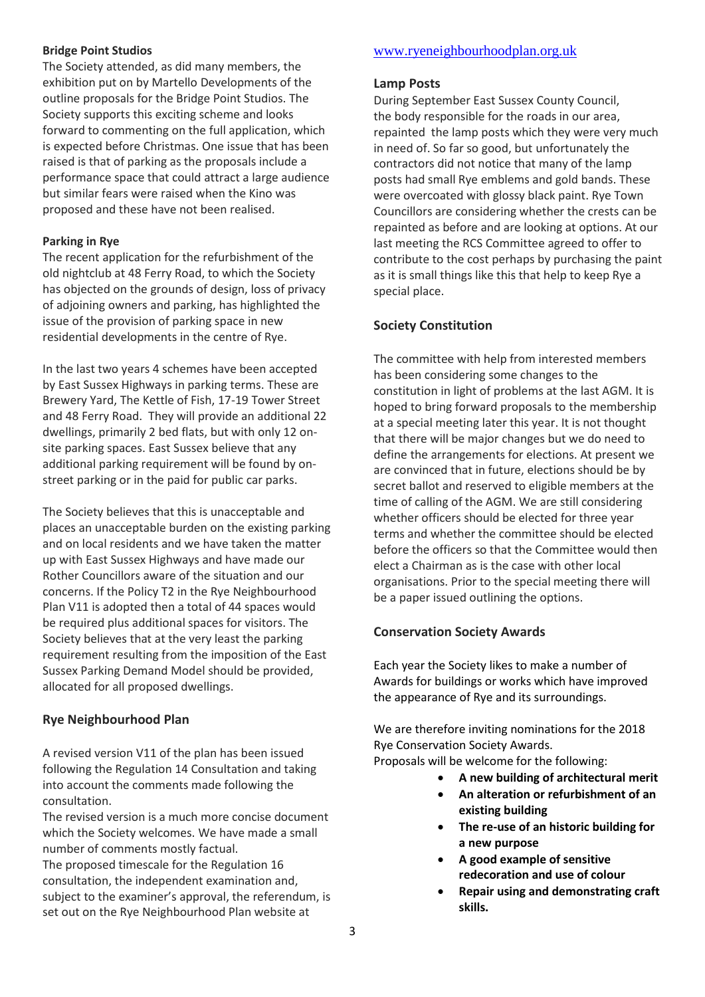#### **Bridge Point Studios**

The Society attended, as did many members, the exhibition put on by Martello Developments of the outline proposals for the Bridge Point Studios. The Society supports this exciting scheme and looks forward to commenting on the full application, which is expected before Christmas. One issue that has been raised is that of parking as the proposals include a performance space that could attract a large audience but similar fears were raised when the Kino was proposed and these have not been realised.

### **Parking in Rye**

The recent application for the refurbishment of the old nightclub at 48 Ferry Road, to which the Society has objected on the grounds of design, loss of privacy of adjoining owners and parking, has highlighted the issue of the provision of parking space in new residential developments in the centre of Rye.

In the last two years 4 schemes have been accepted by East Sussex Highways in parking terms. These are Brewery Yard, The Kettle of Fish, 17-19 Tower Street and 48 Ferry Road. They will provide an additional 22 dwellings, primarily 2 bed flats, but with only 12 onsite parking spaces. East Sussex believe that any additional parking requirement will be found by onstreet parking or in the paid for public car parks.

The Society believes that this is unacceptable and places an unacceptable burden on the existing parking and on local residents and we have taken the matter up with East Sussex Highways and have made our Rother Councillors aware of the situation and our concerns. If the Policy T2 in the Rye Neighbourhood Plan V11 is adopted then a total of 44 spaces would be required plus additional spaces for visitors. The Society believes that at the very least the parking requirement resulting from the imposition of the East Sussex Parking Demand Model should be provided, allocated for all proposed dwellings.

## **Rye Neighbourhood Plan**

A revised version V11 of the plan has been issued following the Regulation 14 Consultation and taking into account the comments made following the consultation.

The revised version is a much more concise document which the Society welcomes. We have made a small number of comments mostly factual. The proposed timescale for the Regulation 16 consultation, the independent examination and, subject to the examiner's approval, the referendum, is

set out on the Rye Neighbourhood Plan website at

## [www.ryeneighbourhoodplan.org.uk](http://www.ryeneighbourhoodplan.org.uk/)

## **Lamp Posts**

During September East Sussex County Council, the body responsible for the roads in our area, repainted the lamp posts which they were very much in need of. So far so good, but unfortunately the contractors did not notice that many of the lamp posts had small Rye emblems and gold bands. These were overcoated with glossy black paint. Rye Town Councillors are considering whether the crests can be repainted as before and are looking at options. At our last meeting the RCS Committee agreed to offer to contribute to the cost perhaps by purchasing the paint as it is small things like this that help to keep Rye a special place.

## **Society Constitution**

The committee with help from interested members has been considering some changes to the constitution in light of problems at the last AGM. It is hoped to bring forward proposals to the membership at a special meeting later this year. It is not thought that there will be major changes but we do need to define the arrangements for elections. At present we are convinced that in future, elections should be by secret ballot and reserved to eligible members at the time of calling of the AGM. We are still considering whether officers should be elected for three year terms and whether the committee should be elected before the officers so that the Committee would then elect a Chairman as is the case with other local organisations. Prior to the special meeting there will be a paper issued outlining the options.

## **Conservation Society Awards**

Each year the Society likes to make a number of Awards for buildings or works which have improved the appearance of Rye and its surroundings.

We are therefore inviting nominations for the 2018 Rye Conservation Society Awards.

Proposals will be welcome for the following:

- **A new building of architectural merit**
- **An alteration or refurbishment of an existing building**
- **The re-use of an historic building for a new purpose**
- **A good example of sensitive redecoration and use of colour**
- **Repair using and demonstrating craft skills.**